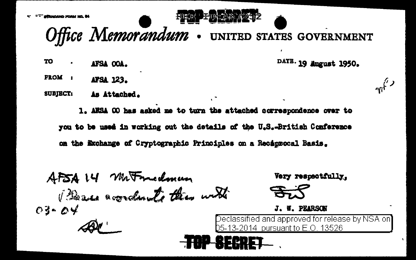albanaan soostaa. S



- Office Memorandum . UNITED STATES GOVERNMENT
- **TO** AFSA OOA.

**FROM** : APSA 123.

**SUBJECT:** As Attached.

> 1. ARSA OO has asked me to turn the attached correspondence over to you to be used in working out the details of the U.S.-British Conference on the Exchange of Cryptographic Principles on a Recaprocal Basis.

AFSALY Matriculmum Beau accordants this with  $03 - 04$ 

Very respectfully.

DATE. 19 August 1950.

 $\sqrt{r}$ 



J. W. PEARSON

Declassified and approved for release by NSA on] 05-13-2014 pursuant to E.O. 13526